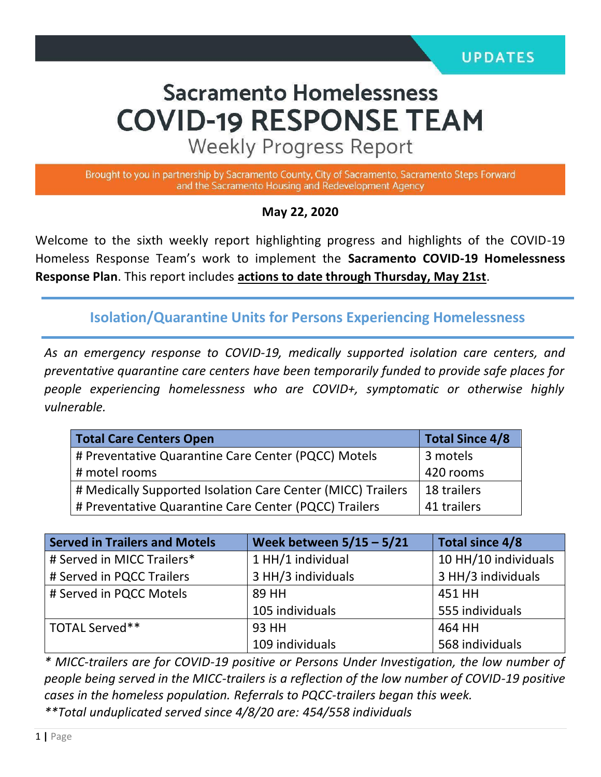# **Sacramento Homelessness COVID-19 RESPONSE TEAM**

**Weekly Progress Report** 

Brought to you in partnership by Sacramento County, City of Sacramento, Sacramento Steps Forward and the Sacramento Housing and Redevelopment Agency

#### **May 22, 2020**

Welcome to the sixth weekly report highlighting progress and highlights of the COVID-19 Homeless Response Team's work to implement the **Sacramento COVID-19 Homelessness Response Plan**. This report includes **actions to date through Thursday, May 21st**.

**Isolation/Quarantine Units for Persons Experiencing Homelessness**

*As an emergency response to COVID-19, medically supported isolation care centers, and preventative quarantine care centers have been temporarily funded to provide safe places for people experiencing homelessness who are COVID+, symptomatic or otherwise highly vulnerable.*

| <b>Total Care Centers Open</b>                              | <b>Total Since 4/8</b> |  |
|-------------------------------------------------------------|------------------------|--|
| # Preventative Quarantine Care Center (PQCC) Motels         | 3 motels               |  |
| # motel rooms                                               | 420 rooms              |  |
| # Medically Supported Isolation Care Center (MICC) Trailers | 18 trailers            |  |
| # Preventative Quarantine Care Center (PQCC) Trailers       | 41 trailers            |  |

| <b>Served in Trailers and Motels</b> | Week between $5/15 - 5/21$ | Total since 4/8      |  |
|--------------------------------------|----------------------------|----------------------|--|
| # Served in MICC Trailers*           | 1 HH/1 individual          | 10 HH/10 individuals |  |
| # Served in PQCC Trailers            | 3 HH/3 individuals         | 3 HH/3 individuals   |  |
| # Served in PQCC Motels              | 89 HH                      | 451 HH               |  |
|                                      | 105 individuals            | 555 individuals      |  |
| TOTAL Served**                       | 93 HH                      | 464 HH               |  |
|                                      | 109 individuals            | 568 individuals      |  |

*\* MICC-trailers are for COVID-19 positive or Persons Under Investigation, the low number of people being served in the MICC-trailers is a reflection of the low number of COVID-19 positive cases in the homeless population. Referrals to PQCC-trailers began this week. \*\*Total unduplicated served since 4/8/20 are: 454/558 individuals*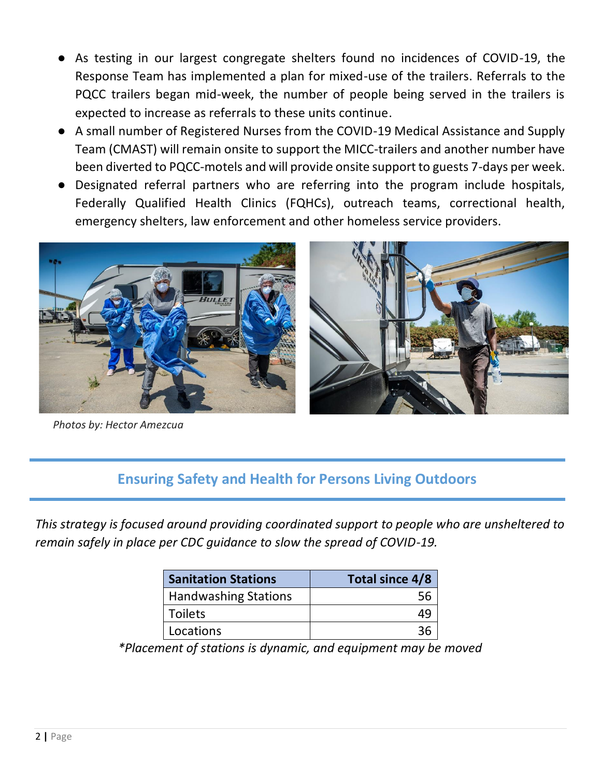- As testing in our largest congregate shelters found no incidences of COVID-19, the Response Team has implemented a plan for mixed-use of the trailers. Referrals to the PQCC trailers began mid-week, the number of people being served in the trailers is expected to increase as referrals to these units continue.
- A small number of Registered Nurses from the COVID-19 Medical Assistance and Supply Team (CMAST) will remain onsite to support the MICC-trailers and another number have been diverted to PQCC-motels and will provide onsite support to guests 7-days per week.
- Designated referral partners who are referring into the program include hospitals, Federally Qualified Health Clinics (FQHCs), outreach teams, correctional health, emergency shelters, law enforcement and other homeless service providers.



*Photos by: Hector Amezcua*

#### **Ensuring Safety and Health for Persons Living Outdoors**

*This strategy is focused around providing coordinated support to people who are unsheltered to remain safely in place per CDC guidance to slow the spread of COVID-19.*

| <b>Sanitation Stations</b>  | Total since 4/8 |  |  |
|-----------------------------|-----------------|--|--|
| <b>Handwashing Stations</b> |                 |  |  |
| <b>Toilets</b>              |                 |  |  |
| Locations                   |                 |  |  |

*\*Placement of stations is dynamic, and equipment may be moved*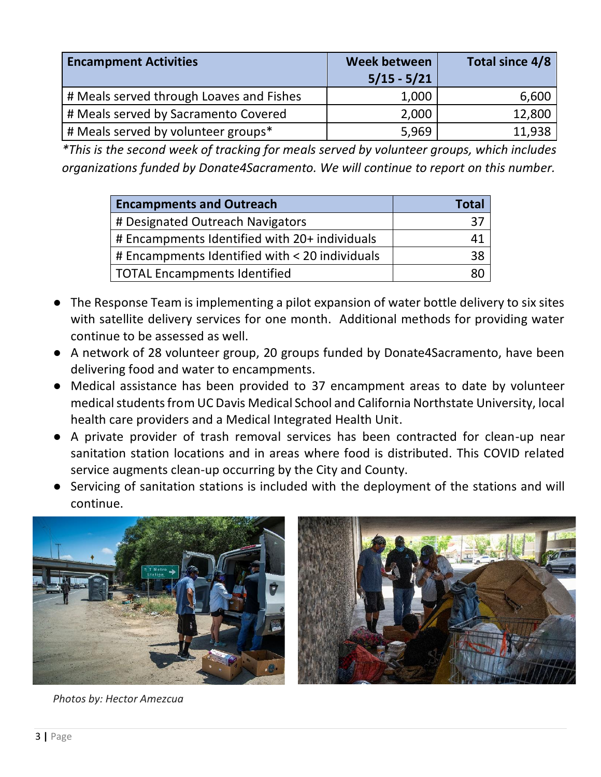| <b>Encampment Activities</b>             | <b>Week between</b><br>$5/15 - 5/21$ | Total since 4/8 |
|------------------------------------------|--------------------------------------|-----------------|
| # Meals served through Loaves and Fishes | 1,000                                | 6,600           |
| # Meals served by Sacramento Covered     | 2,000                                | 12,800          |
| # Meals served by volunteer groups*      | 5,969                                | 11,938          |

*\*This is the second week of tracking for meals served by volunteer groups, which includes organizations funded by Donate4Sacramento. We will continue to report on this number.* 

| <b>Encampments and Outreach</b>                | Total |
|------------------------------------------------|-------|
| # Designated Outreach Navigators               | 37    |
| # Encampments Identified with 20+ individuals  | 41    |
| # Encampments Identified with < 20 individuals | 38    |
| <b>TOTAL Encampments Identified</b>            | 80    |

- The Response Team is implementing a pilot expansion of water bottle delivery to six sites with satellite delivery services for one month. Additional methods for providing water continue to be assessed as well.
- A network of 28 volunteer group, 20 groups funded by Donate4Sacramento, have been delivering food and water to encampments.
- Medical assistance has been provided to 37 encampment areas to date by volunteer medical students from UC Davis Medical School and California Northstate University, local health care providers and a Medical Integrated Health Unit.
- A private provider of trash removal services has been contracted for clean-up near sanitation station locations and in areas where food is distributed. This COVID related service augments clean-up occurring by the City and County.
- Servicing of sanitation stations is included with the deployment of the stations and will continue.





*Photos by: Hector Amezcua*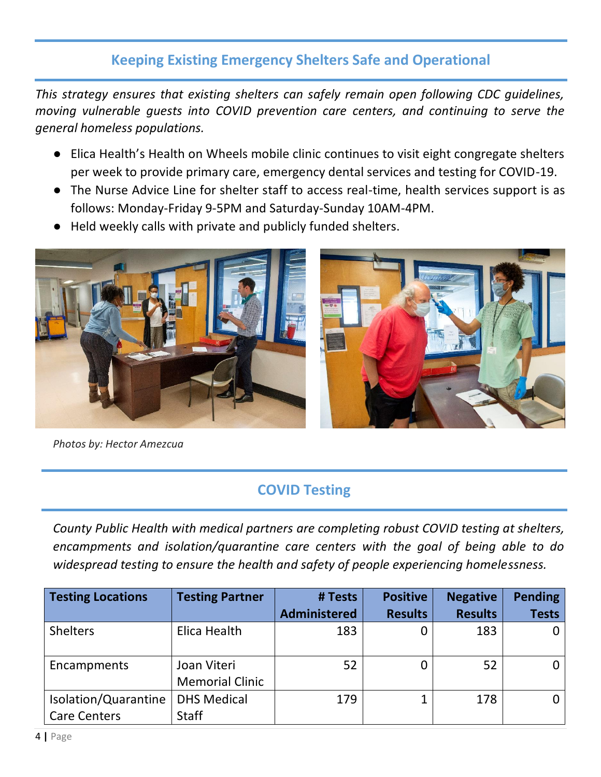## **Keeping Existing Emergency Shelters Safe and Operational**

*This strategy ensures that existing shelters can safely remain open following CDC guidelines, moving vulnerable guests into COVID prevention care centers, and continuing to serve the general homeless populations.* 

- Elica Health's Health on Wheels mobile clinic continues to visit eight congregate shelters per week to provide primary care, emergency dental services and testing for COVID-19.
- The Nurse Advice Line for shelter staff to access real-time, health services support is as follows: Monday-Friday 9-5PM and Saturday-Sunday 10AM-4PM.
- Held weekly calls with private and publicly funded shelters.



*Photos by: Hector Amezcua*

# **COVID Testing**

*County Public Health with medical partners are completing robust COVID testing at shelters, encampments and isolation/quarantine care centers with the goal of being able to do widespread testing to ensure the health and safety of people experiencing homelessness.* 

| <b>Testing Locations</b> | <b>Testing Partner</b> | # Tests             | <b>Positive</b> | <b>Negative</b> | <b>Pending</b> |
|--------------------------|------------------------|---------------------|-----------------|-----------------|----------------|
|                          |                        | <b>Administered</b> | <b>Results</b>  | <b>Results</b>  | <b>Tests</b>   |
| <b>Shelters</b>          | Elica Health           | 183                 | 0               | 183             |                |
| Encampments              | Joan Viteri            | 52                  | 0               | 52              |                |
|                          | <b>Memorial Clinic</b> |                     |                 |                 |                |
| Isolation/Quarantine     | <b>DHS Medical</b>     | 179                 |                 | 178             |                |
| <b>Care Centers</b>      | <b>Staff</b>           |                     |                 |                 |                |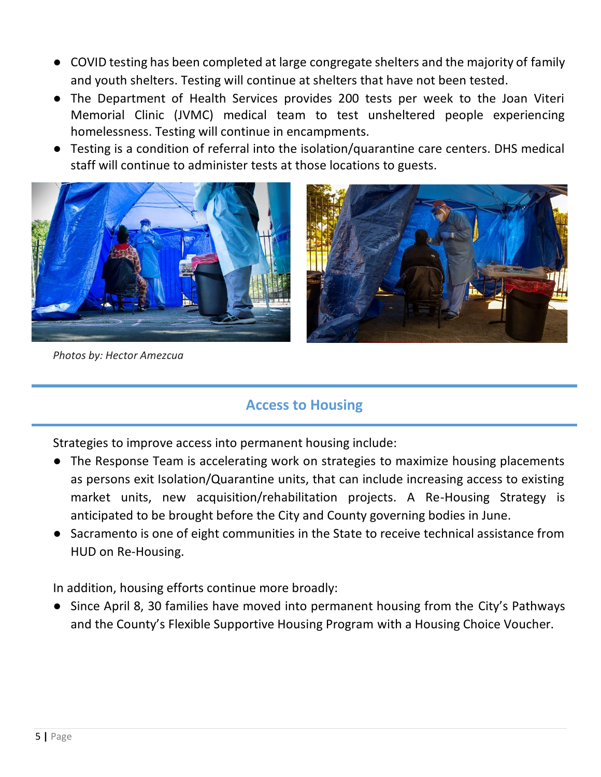- COVID testing has been completed at large congregate shelters and the majority of family and youth shelters. Testing will continue at shelters that have not been tested.
- The Department of Health Services provides 200 tests per week to the Joan Viteri Memorial Clinic (JVMC) medical team to test unsheltered people experiencing homelessness. Testing will continue in encampments.
- Testing is a condition of referral into the isolation/quarantine care centers. DHS medical staff will continue to administer tests at those locations to guests.



*Photos by: Hector Amezcua*

#### **Access to Housing**

Strategies to improve access into permanent housing include:

- The Response Team is accelerating work on strategies to maximize housing placements as persons exit Isolation/Quarantine units, that can include increasing access to existing market units, new acquisition/rehabilitation projects. A Re-Housing Strategy is anticipated to be brought before the City and County governing bodies in June.
- Sacramento is one of eight communities in the State to receive technical assistance from HUD on Re-Housing.

In addition, housing efforts continue more broadly:

● Since April 8, 30 families have moved into permanent housing from the City's Pathways and the County's Flexible Supportive Housing Program with a Housing Choice Voucher.